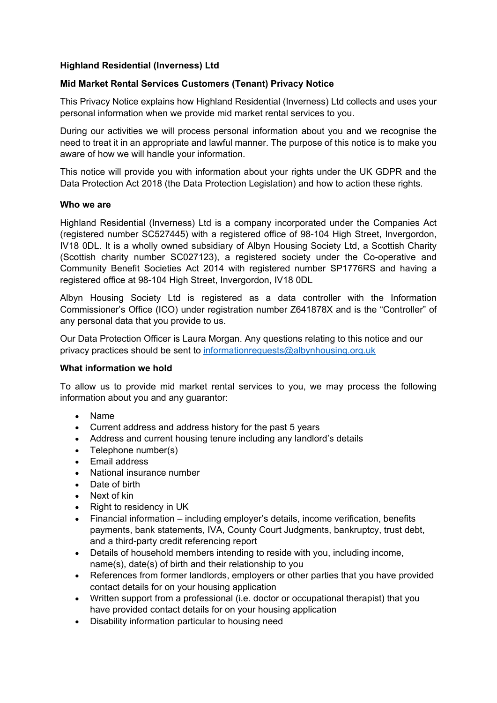## **Highland Residential (Inverness) Ltd**

## **Mid Market Rental Services Customers (Tenant) Privacy Notice**

This Privacy Notice explains how Highland Residential (Inverness) Ltd collects and uses your personal information when we provide mid market rental services to you.

During our activities we will process personal information about you and we recognise the need to treat it in an appropriate and lawful manner. The purpose of this notice is to make you aware of how we will handle your information.

This notice will provide you with information about your rights under the UK GDPR and the Data Protection Act 2018 (the Data Protection Legislation) and how to action these rights.

#### **Who we are**

Highland Residential (Inverness) Ltd is a company incorporated under the Companies Act (registered number SC527445) with a registered office of 98-104 High Street, Invergordon, IV18 0DL. It is a wholly owned subsidiary of Albyn Housing Society Ltd, a Scottish Charity (Scottish charity number SC027123), a registered society under the Co-operative and Community Benefit Societies Act 2014 with registered number SP1776RS and having a registered office at 98-104 High Street, Invergordon, IV18 0DL

Albyn Housing Society Ltd is registered as a data controller with the Information Commissioner's Office (ICO) under registration number Z641878X and is the "Controller" of any personal data that you provide to us.

Our Data Protection Officer is Laura Morgan. Any questions relating to this notice and our privacy practices should be sent to [informationrequests@albynhousing.org.uk](mailto:informationrequests@albynhousing.org.uk)

### **What information we hold**

To allow us to provide mid market rental services to you, we may process the following information about you and any guarantor:

- Name
- Current address and address history for the past 5 years
- Address and current housing tenure including any landlord's details
- Telephone number(s)
- Email address
- National insurance number
- Date of birth
- Next of kin
- Right to residency in UK
- Financial information including employer's details, income verification, benefits payments, bank statements, IVA, County Court Judgments, bankruptcy, trust debt, and a third-party credit referencing report
- Details of household members intending to reside with you, including income, name(s), date(s) of birth and their relationship to you
- References from former landlords, employers or other parties that you have provided contact details for on your housing application
- Written support from a professional (i.e. doctor or occupational therapist) that you have provided contact details for on your housing application
- Disability information particular to housing need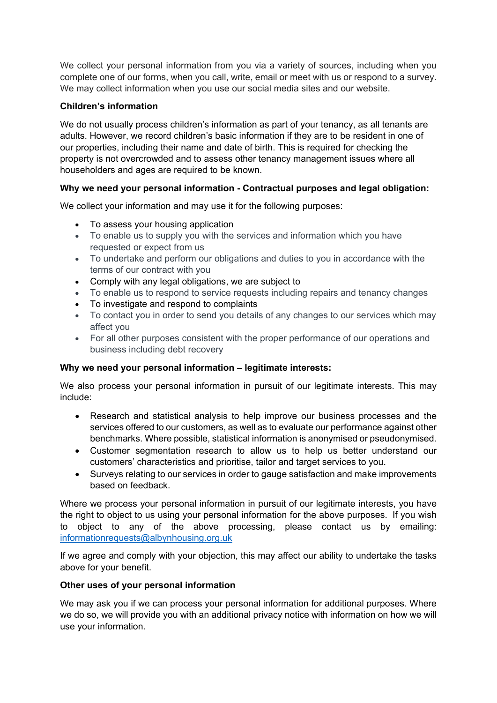We collect your personal information from you via a variety of sources, including when you complete one of our forms, when you call, write, email or meet with us or respond to a survey. We may collect information when you use our social media sites and our website.

# **Children's information**

We do not usually process children's information as part of your tenancy, as all tenants are adults. However, we record children's basic information if they are to be resident in one of our properties, including their name and date of birth. This is required for checking the property is not overcrowded and to assess other tenancy management issues where all householders and ages are required to be known.

# **Why we need your personal information - Contractual purposes and legal obligation:**

We collect your information and may use it for the following purposes:

- To assess your housing application
- To enable us to supply you with the services and information which you have requested or expect from us
- To undertake and perform our obligations and duties to you in accordance with the terms of our contract with you
- Comply with any legal obligations, we are subject to
- To enable us to respond to service requests including repairs and tenancy changes
- To investigate and respond to complaints
- To contact you in order to send you details of any changes to our services which may affect you
- For all other purposes consistent with the proper performance of our operations and business including debt recovery

# **Why we need your personal information – legitimate interests:**

We also process your personal information in pursuit of our legitimate interests. This may include:

- Research and statistical analysis to help improve our business processes and the services offered to our customers, as well as to evaluate our performance against other benchmarks. Where possible, statistical information is anonymised or pseudonymised.
- Customer segmentation research to allow us to help us better understand our customers' characteristics and prioritise, tailor and target services to you.
- Surveys relating to our services in order to gauge satisfaction and make improvements based on feedback.

Where we process your personal information in pursuit of our legitimate interests, you have the right to object to us using your personal information for the above purposes. If you wish to object to any of the above processing, please contact us by emailing: [informationrequests@albynhousing.org.uk](mailto:informationrequests@albynhousing.org.uk)

If we agree and comply with your objection, this may affect our ability to undertake the tasks above for your benefit.

## **Other uses of your personal information**

We may ask you if we can process your personal information for additional purposes. Where we do so, we will provide you with an additional privacy notice with information on how we will use your information.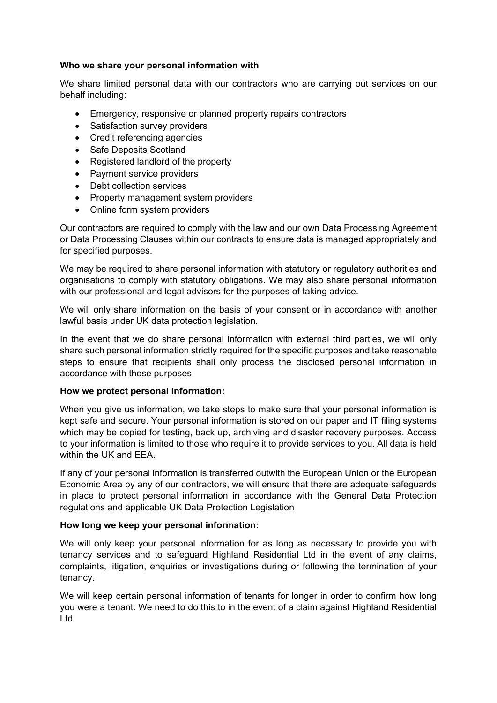### **Who we share your personal information with**

We share limited personal data with our contractors who are carrying out services on our behalf including:

- Emergency, responsive or planned property repairs contractors
- Satisfaction survey providers
- Credit referencing agencies
- Safe Deposits Scotland
- Registered landlord of the property
- Payment service providers
- Debt collection services
- Property management system providers
- Online form system providers

Our contractors are required to comply with the law and our own Data Processing Agreement or Data Processing Clauses within our contracts to ensure data is managed appropriately and for specified purposes.

We may be required to share personal information with statutory or regulatory authorities and organisations to comply with statutory obligations. We may also share personal information with our professional and legal advisors for the purposes of taking advice.

We will only share information on the basis of your consent or in accordance with another lawful basis under UK data protection legislation.

In the event that we do share personal information with external third parties, we will only share such personal information strictly required for the specific purposes and take reasonable steps to ensure that recipients shall only process the disclosed personal information in accordance with those purposes.

### **How we protect personal information:**

When you give us information, we take steps to make sure that your personal information is kept safe and secure. Your personal information is stored on our paper and IT filing systems which may be copied for testing, back up, archiving and disaster recovery purposes. Access to your information is limited to those who require it to provide services to you. All data is held within the UK and EEA.

If any of your personal information is transferred outwith the European Union or the European Economic Area by any of our contractors, we will ensure that there are adequate safeguards in place to protect personal information in accordance with the General Data Protection regulations and applicable UK Data Protection Legislation

### **How long we keep your personal information:**

We will only keep your personal information for as long as necessary to provide you with tenancy services and to safeguard Highland Residential Ltd in the event of any claims, complaints, litigation, enquiries or investigations during or following the termination of your tenancy.

We will keep certain personal information of tenants for longer in order to confirm how long you were a tenant. We need to do this to in the event of a claim against Highland Residential Ltd.